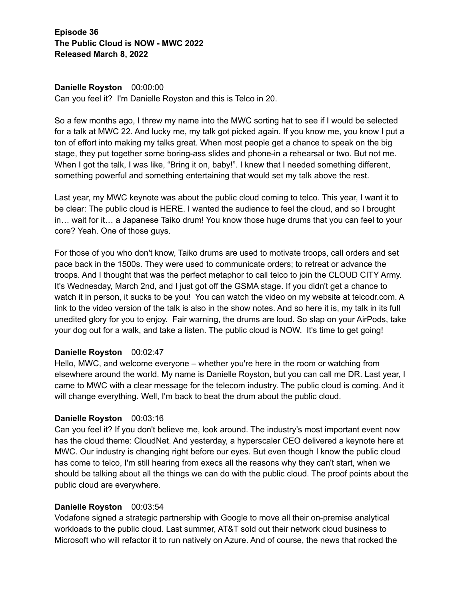**Episode 36 The Public Cloud is NOW - MWC 2022 Released March 8, 2022**

# **Danielle Royston** 00:00:00

Can you feel it? I'm Danielle Royston and this is Telco in 20.

So a few months ago, I threw my name into the MWC sorting hat to see if I would be selected for a talk at MWC 22. And lucky me, my talk got picked again. If you know me, you know I put a ton of effort into making my talks great. When most people get a chance to speak on the big stage, they put together some boring-ass slides and phone-in a rehearsal or two. But not me. When I got the talk, I was like, "Bring it on, baby!". I knew that I needed something different, something powerful and something entertaining that would set my talk above the rest.

Last year, my MWC keynote was about the public cloud coming to telco. This year, I want it to be clear: The public cloud is HERE. I wanted the audience to feel the cloud, and so I brought in… wait for it… a Japanese Taiko drum! You know those huge drums that you can feel to your core? Yeah. One of those guys.

For those of you who don't know, Taiko drums are used to motivate troops, call orders and set pace back in the 1500s. They were used to communicate orders; to retreat or advance the troops. And I thought that was the perfect metaphor to call telco to join the CLOUD CITY Army. It's Wednesday, March 2nd, and I just got off the GSMA stage. If you didn't get a chance to watch it in person, it sucks to be you! You can watch the video on my website at telcodr.com. A link to the video version of the talk is also in the show notes. And so here it is, my talk in its full unedited glory for you to enjoy. Fair warning, the drums are loud. So slap on your AirPods, take your dog out for a walk, and take a listen. The public cloud is NOW. It's time to get going!

#### **Danielle Royston** 00:02:47

Hello, MWC, and welcome everyone – whether you're here in the room or watching from elsewhere around the world. My name is Danielle Royston, but you can call me DR. Last year, I came to MWC with a clear message for the telecom industry. The public cloud is coming. And it will change everything. Well, I'm back to beat the drum about the public cloud.

#### **Danielle Royston** 00:03:16

Can you feel it? If you don't believe me, look around. The industry's most important event now has the cloud theme: CloudNet. And yesterday, a hyperscaler CEO delivered a keynote here at MWC. Our industry is changing right before our eyes. But even though I know the public cloud has come to telco, I'm still hearing from execs all the reasons why they can't start, when we should be talking about all the things we can do with the public cloud. The proof points about the public cloud are everywhere.

#### **Danielle Royston** 00:03:54

Vodafone signed a strategic partnership with Google to move all their on-premise analytical workloads to the public cloud. Last summer, AT&T sold out their network cloud business to Microsoft who will refactor it to run natively on Azure. And of course, the news that rocked the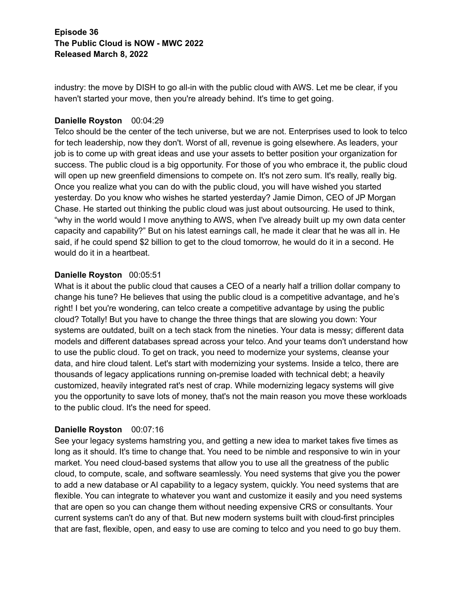industry: the move by DISH to go all-in with the public cloud with AWS. Let me be clear, if you haven't started your move, then you're already behind. It's time to get going.

# **Danielle Royston** 00:04:29

Telco should be the center of the tech universe, but we are not. Enterprises used to look to telco for tech leadership, now they don't. Worst of all, revenue is going elsewhere. As leaders, your job is to come up with great ideas and use your assets to better position your organization for success. The public cloud is a big opportunity. For those of you who embrace it, the public cloud will open up new greenfield dimensions to compete on. It's not zero sum. It's really, really big. Once you realize what you can do with the public cloud, you will have wished you started yesterday. Do you know who wishes he started yesterday? Jamie Dimon, CEO of JP Morgan Chase. He started out thinking the public cloud was just about outsourcing. He used to think, "why in the world would I move anything to AWS, when I've already built up my own data center capacity and capability?" But on his latest earnings call, he made it clear that he was all in. He said, if he could spend \$2 billion to get to the cloud tomorrow, he would do it in a second. He would do it in a heartbeat.

# **Danielle Royston** 00:05:51

What is it about the public cloud that causes a CEO of a nearly half a trillion dollar company to change his tune? He believes that using the public cloud is a competitive advantage, and he's right! I bet you're wondering, can telco create a competitive advantage by using the public cloud? Totally! But you have to change the three things that are slowing you down: Your systems are outdated, built on a tech stack from the nineties. Your data is messy; different data models and different databases spread across your telco. And your teams don't understand how to use the public cloud. To get on track, you need to modernize your systems, cleanse your data, and hire cloud talent. Let's start with modernizing your systems. Inside a telco, there are thousands of legacy applications running on-premise loaded with technical debt; a heavily customized, heavily integrated rat's nest of crap. While modernizing legacy systems will give you the opportunity to save lots of money, that's not the main reason you move these workloads to the public cloud. It's the need for speed.

# **Danielle Royston** 00:07:16

See your legacy systems hamstring you, and getting a new idea to market takes five times as long as it should. It's time to change that. You need to be nimble and responsive to win in your market. You need cloud-based systems that allow you to use all the greatness of the public cloud, to compute, scale, and software seamlessly. You need systems that give you the power to add a new database or AI capability to a legacy system, quickly. You need systems that are flexible. You can integrate to whatever you want and customize it easily and you need systems that are open so you can change them without needing expensive CRS or consultants. Your current systems can't do any of that. But new modern systems built with cloud-first principles that are fast, flexible, open, and easy to use are coming to telco and you need to go buy them.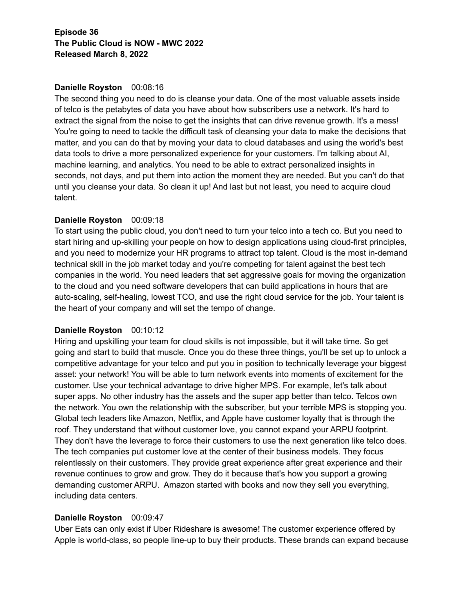# **Episode 36 The Public Cloud is NOW - MWC 2022 Released March 8, 2022**

### **Danielle Royston** 00:08:16

The second thing you need to do is cleanse your data. One of the most valuable assets inside of telco is the petabytes of data you have about how subscribers use a network. It's hard to extract the signal from the noise to get the insights that can drive revenue growth. It's a mess! You're going to need to tackle the difficult task of cleansing your data to make the decisions that matter, and you can do that by moving your data to cloud databases and using the world's best data tools to drive a more personalized experience for your customers. I'm talking about AI, machine learning, and analytics. You need to be able to extract personalized insights in seconds, not days, and put them into action the moment they are needed. But you can't do that until you cleanse your data. So clean it up! And last but not least, you need to acquire cloud talent.

# **Danielle Royston** 00:09:18

To start using the public cloud, you don't need to turn your telco into a tech co. But you need to start hiring and up-skilling your people on how to design applications using cloud-first principles, and you need to modernize your HR programs to attract top talent. Cloud is the most in-demand technical skill in the job market today and you're competing for talent against the best tech companies in the world. You need leaders that set aggressive goals for moving the organization to the cloud and you need software developers that can build applications in hours that are auto-scaling, self-healing, lowest TCO, and use the right cloud service for the job. Your talent is the heart of your company and will set the tempo of change.

# **Danielle Royston** 00:10:12

Hiring and upskilling your team for cloud skills is not impossible, but it will take time. So get going and start to build that muscle. Once you do these three things, you'll be set up to unlock a competitive advantage for your telco and put you in position to technically leverage your biggest asset: your network! You will be able to turn network events into moments of excitement for the customer. Use your technical advantage to drive higher MPS. For example, let's talk about super apps. No other industry has the assets and the super app better than telco. Telcos own the network. You own the relationship with the subscriber, but your terrible MPS is stopping you. Global tech leaders like Amazon, Netflix, and Apple have customer loyalty that is through the roof. They understand that without customer love, you cannot expand your ARPU footprint. They don't have the leverage to force their customers to use the next generation like telco does. The tech companies put customer love at the center of their business models. They focus relentlessly on their customers. They provide great experience after great experience and their revenue continues to grow and grow. They do it because that's how you support a growing demanding customer ARPU. Amazon started with books and now they sell you everything, including data centers.

#### **Danielle Royston** 00:09:47

Uber Eats can only exist if Uber Rideshare is awesome! The customer experience offered by Apple is world-class, so people line-up to buy their products. These brands can expand because